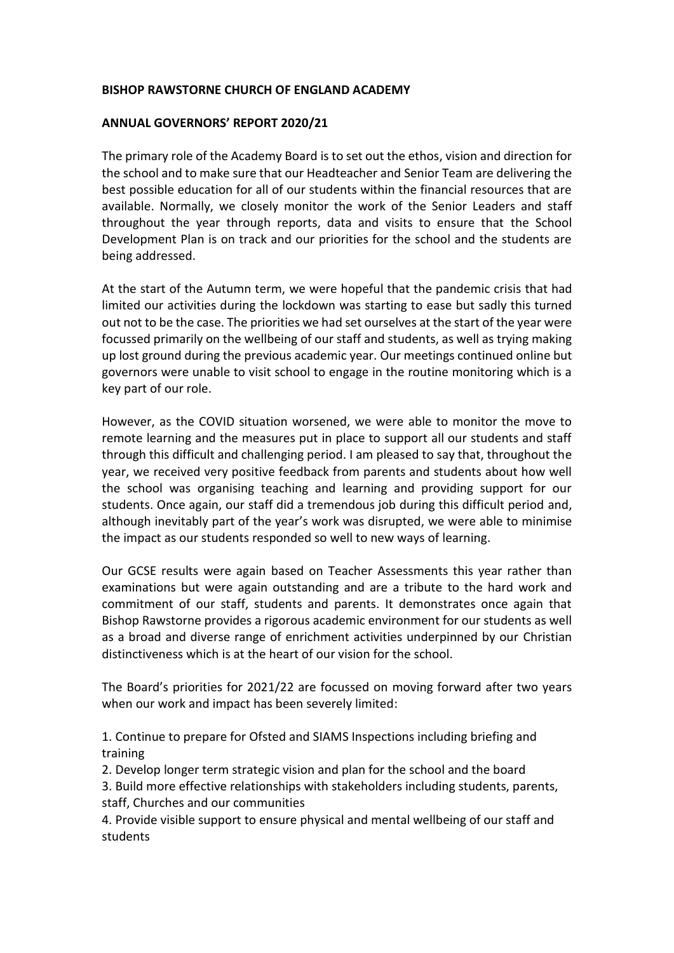## **BISHOP RAWSTORNE CHURCH OF ENGLAND ACADEMY**

## **ANNUAL GOVERNORS' REPORT 2020/21**

The primary role of the Academy Board is to set out the ethos, vision and direction for the school and to make sure that our Headteacher and Senior Team are delivering the best possible education for all of our students within the financial resources that are available. Normally, we closely monitor the work of the Senior Leaders and staff throughout the year through reports, data and visits to ensure that the School Development Plan is on track and our priorities for the school and the students are being addressed.

At the start of the Autumn term, we were hopeful that the pandemic crisis that had limited our activities during the lockdown was starting to ease but sadly this turned out not to be the case. The priorities we had set ourselves at the start of the year were focussed primarily on the wellbeing of our staff and students, as well as trying making up lost ground during the previous academic year. Our meetings continued online but governors were unable to visit school to engage in the routine monitoring which is a key part of our role.

However, as the COVID situation worsened, we were able to monitor the move to remote learning and the measures put in place to support all our students and staff through this difficult and challenging period. I am pleased to say that, throughout the year, we received very positive feedback from parents and students about how well the school was organising teaching and learning and providing support for our students. Once again, our staff did a tremendous job during this difficult period and, although inevitably part of the year's work was disrupted, we were able to minimise the impact as our students responded so well to new ways of learning.

Our GCSE results were again based on Teacher Assessments this year rather than examinations but were again outstanding and are a tribute to the hard work and commitment of our staff, students and parents. It demonstrates once again that Bishop Rawstorne provides a rigorous academic environment for our students as well as a broad and diverse range of enrichment activities underpinned by our Christian distinctiveness which is at the heart of our vision for the school.

The Board's priorities for 2021/22 are focussed on moving forward after two years when our work and impact has been severely limited:

1. Continue to prepare for Ofsted and SIAMS Inspections including briefing and training

2. Develop longer term strategic vision and plan for the school and the board

3. Build more effective relationships with stakeholders including students, parents, staff, Churches and our communities

4. Provide visible support to ensure physical and mental wellbeing of our staff and students